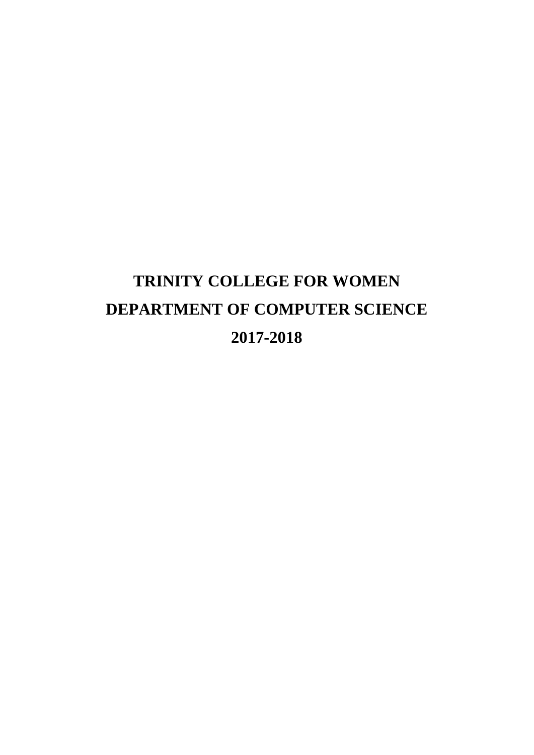# **TRINITY COLLEGE FOR WOMEN DEPARTMENT OF COMPUTER SCIENCE 2017-2018**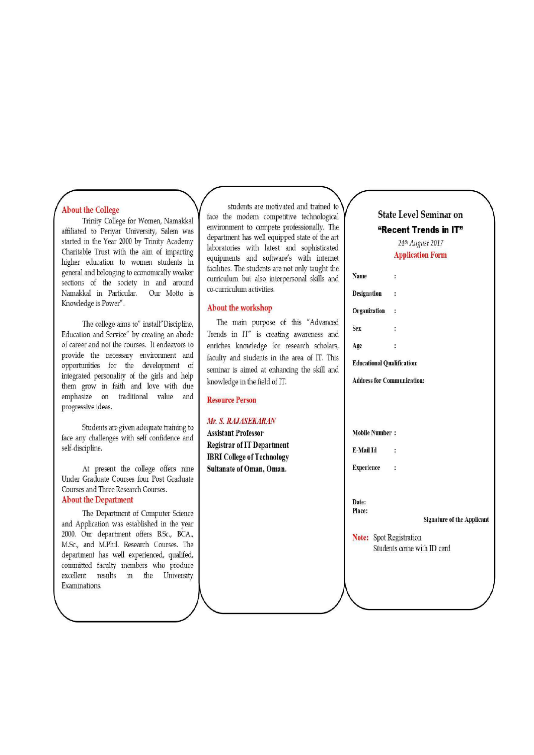#### **About the College**

Trinity College for Women, Namakkal affiliated to Periyar University, Salem was started in the Year 2000 by Trinity Academy Charitable Trust with the aim of imparting higher education to women students in general and belonging to economically weaker sections of the society in and around Namakkal in Particular. Our Motto is Knowledge is Power".

The college aims to" install" Discipline, Education and Service" by creating an abode of career and not the courses. It endeavors to provide the necessary environment and opportunities for the development of integrated personality of the girls and help them grow in faith and love with due emphasize on traditional value and progressive ideas.

Students are given adequate training to face any challenges with self confidence and self-discipline.

At present the college offers nine Under Graduate Courses four Post Graduate Courses and Three Research Courses. **About the Department** 

The Department of Computer Science and Application was established in the year 2000. Our department offers B.Sc., BCA., M.Sc., and M.Phil. Research Courses. The department has well experienced, qualifed, committed faculty members who produce

students are motivated and trained to face the modern competitive technological environment to compete professionally. The department has well equipped state of the art laboratories with latest and sophisticated equipments and software's with internet facilities. The students are not only taught the curriculum but also interpersonal skills and co-curriculum activities.

#### About the workshop

The main purpose of this "Advanced Trends in IT" is creating awareness and enriches knowledge for research scholars, faculty and students in the area of IT. This seminar is aimed at enhancing the skill and knowledge in the field of IT.

**Resource Person** 

Mr. S. RAJASEKARAN **Assistant Professor Registrar of IT Department IBRI** College of Technology Sultanate of Oman, Oman.

### **State Level Seminar on** "Recent Trends in IT"

24th August 2017 **Application Form** 

```
Name
Designation
                \ddot{\cdot}Organization
               \ddot{\phantom{a}}Sex
                 ÷
Age
Educational Qualification:
Address for Communication:
Mobile Number:
E-Mail Id
                 ÷
Experience
Date:
Place:
                             Signature of the Applicant
Note: Spot Registration
         Students come with ID card
```
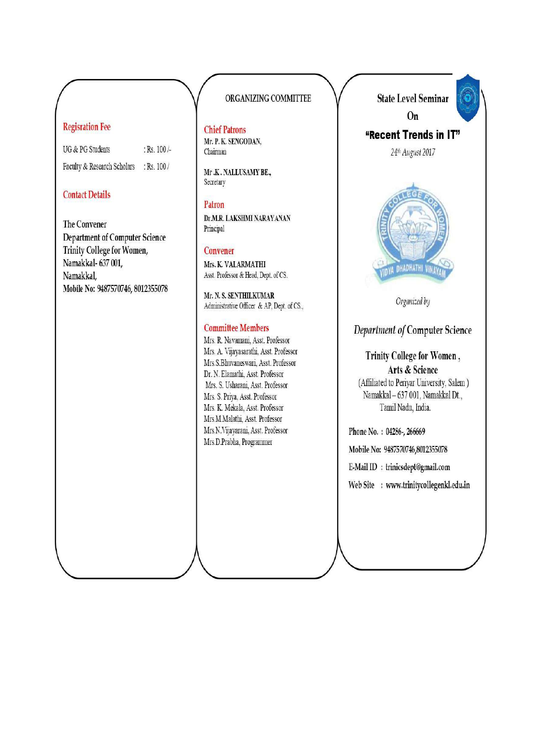### **Regisration Fee**

: Rs.  $100/-$ UG & PG Students Faculty & Research Scholars  $:$  Rs. 100  $/$ 

#### **Contact Details**

The Convener **Department of Computer Science** Trinity College for Women, Namakkal- 637 001, Namakkal, Mobile No: 9487570746, 8012355078

## ORGANIZING COMMITTEE

**Chief Patrons** Mr. P. K. SENGODAN, Chairman

Mr .K. NALLUSAMY BE., Secretary

#### Patron

Dr.M.R. LAKSHMI NARAYANAN Principal

#### **Convener**

Mrs. K. VALARMATHI Asst. Professor & Head, Dept. of CS.

Mr. N. S. SENTHILKUMAR Administrative Officer & AP, Dept. of CS.,

### **Committee Members**

Mrs. R. Navamani, Asst. Professor Mrs. A. Vijayasarathi, Asst. Professor Mrs.S.Bhuvaneswari, Asst. Professor Dr. N. Elamathi, Asst. Professor Mrs. S. Usharani, Asst. Professor Mrs. S. Priya, Asst. Professor Mrs. K. Mekala, Asst. Professor Mrs.M.Malathi, Asst. Professor Mrs.N.Vijayarani, Asst. Professor Mrs.D.Prabha, Programmer

**State Level Seminar** 

 $On$ 



# "Recent Trends in IT"

24th August 2017



Organized by

Department of Computer Science

Trinity College for Women, Arts & Science (Affiliated to Periyar University, Salem) Namakkal - 637 001, Namakkal Dt., Tamil Nadu, India.

Phone No.: 04286-, 266669

Mobile No: 9487570746,8012355078

E-Mail ID : trinicsdept@gmail.com

Web Site : www.trinitycollegenkl.edu.in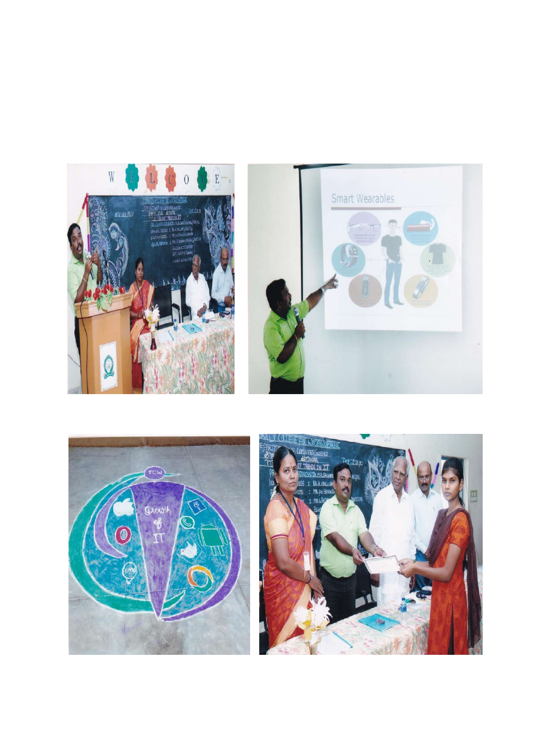





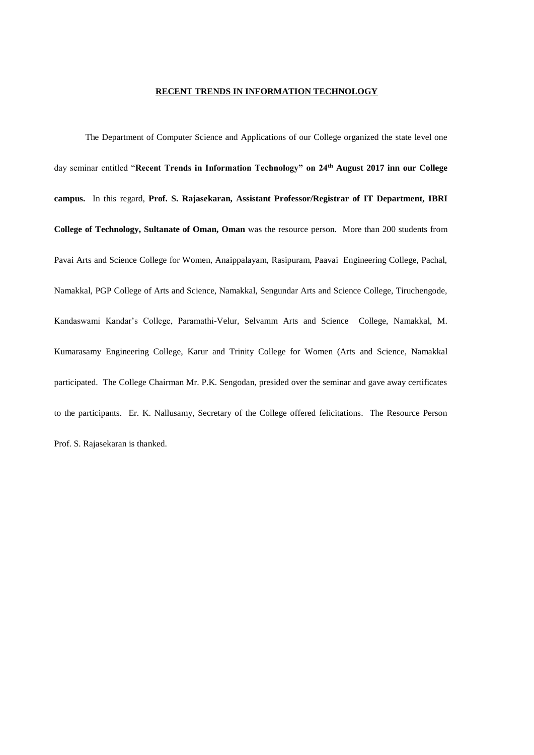#### **RECENT TRENDS IN INFORMATION TECHNOLOGY**

The Department of Computer Science and Applications of our College organized the state level one day seminar entitled "**Recent Trends in Information Technology" on 24th August 2017 inn our College campus.** In this regard, **Prof. S. Rajasekaran, Assistant Professor/Registrar of IT Department, IBRI College of Technology, Sultanate of Oman, Oman** was the resource person. More than 200 students from Pavai Arts and Science College for Women, Anaippalayam, Rasipuram, Paavai Engineering College, Pachal, Namakkal, PGP College of Arts and Science, Namakkal, Sengundar Arts and Science College, Tiruchengode, Kandaswami Kandar's College, Paramathi-Velur, Selvamm Arts and Science College, Namakkal, M. Kumarasamy Engineering College, Karur and Trinity College for Women (Arts and Science, Namakkal participated. The College Chairman Mr. P.K. Sengodan, presided over the seminar and gave away certificates to the participants. Er. K. Nallusamy, Secretary of the College offered felicitations. The Resource Person

Prof. S. Rajasekaran is thanked.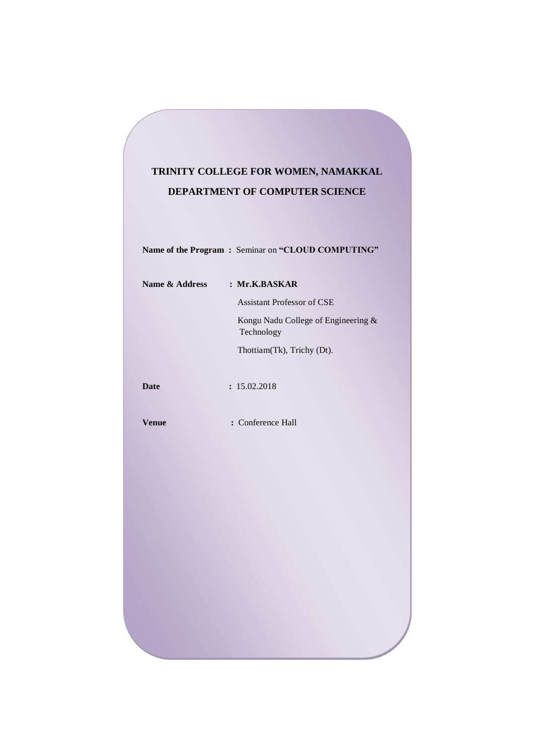# **TRINITY COLLEGE FOR WOMEN, NAMAKKAL DEPARTMENT OF COMPUTER SCIENCE**

**Name of the Program :** Seminar on **"CLOUD COMPUTING"**

| Name & Address | : Mr.K.BASKAR                                        |
|----------------|------------------------------------------------------|
|                | <b>Assistant Professor of CSE</b>                    |
|                | Kongu Nadu College of Engineering $\&$<br>Technology |
|                | Thottiam(Tk), Trichy (Dt).                           |
|                |                                                      |
| <b>Date</b>    | : 15.02.2018                                         |
|                |                                                      |
| Venue          | : Conference Hall                                    |

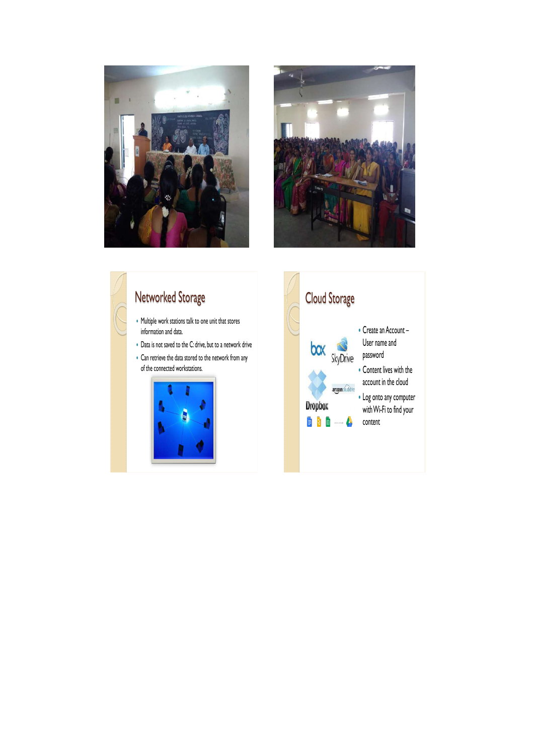



# Networked Storage

- Multiple work stations talk to one unit that stores information and data.
- Data is not saved to the C: drive, but to a network drive
- Can retrieve the data stored to the network from any of the connected workstations.



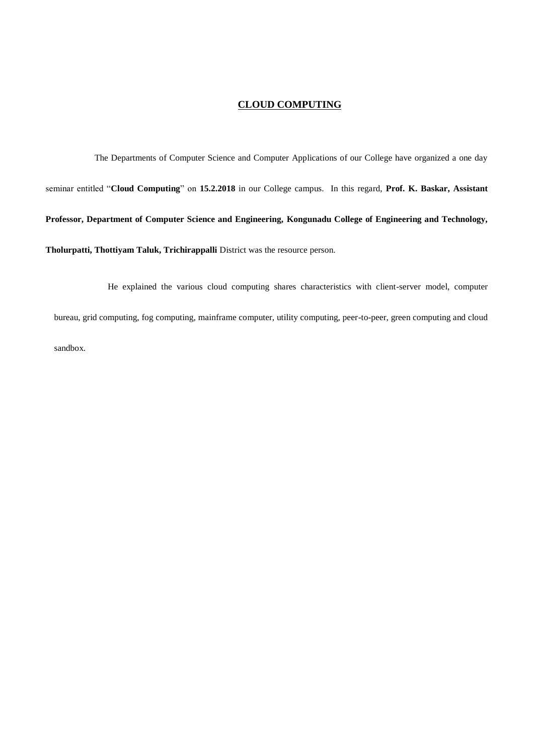### **CLOUD COMPUTING**

 The Departments of Computer Science and Computer Applications of our College have organized a one day seminar entitled "**Cloud Computing**" on **15.2.2018** in our College campus. In this regard, **Prof. K. Baskar, Assistant Professor, Department of Computer Science and Engineering, Kongunadu College of Engineering and Technology, Tholurpatti, Thottiyam Taluk, Trichirappalli** District was the resource person.

He explained the various cloud computing shares characteristics with client-server model, computer

bureau, grid computing, fog computing, mainframe computer, utility computing, peer-to-peer, green computing and cloud

sandbox.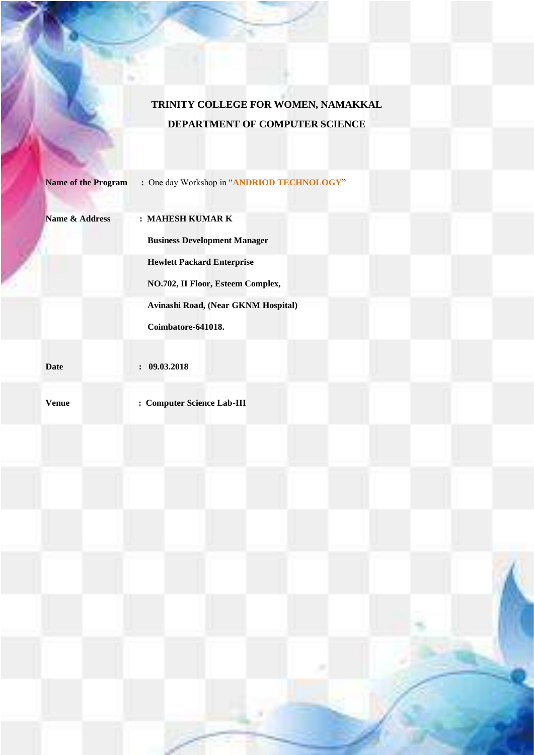# **TRINITY COLLEGE FOR WOMEN, NAMAKKAL DEPARTMENT OF COMPUTER SCIENCE**

| <b>Name of the Program</b> | : One day Workshop in "ANDRIOD TECHNOLOGY" |
|----------------------------|--------------------------------------------|
| <b>Name &amp; Address</b>  | : MAHESH KUMAR K                           |
|                            | <b>Business Development Manager</b>        |
|                            | <b>Hewlett Packard Enterprise</b>          |
|                            | NO.702, II Floor, Esteem Complex,          |
|                            | Avinashi Road, (Near GKNM Hospital)        |
|                            | Coimbatore-641018.                         |
| <b>Date</b>                | 09.03.2018                                 |
| Venue                      | : Computer Science Lab-III                 |



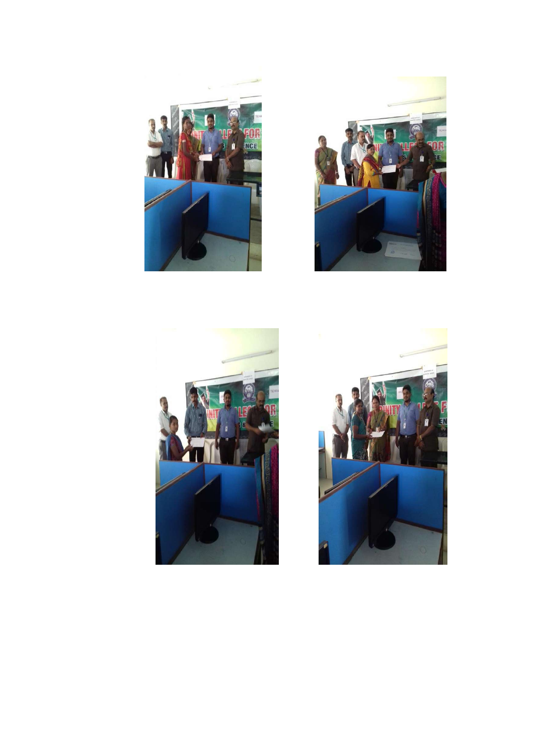





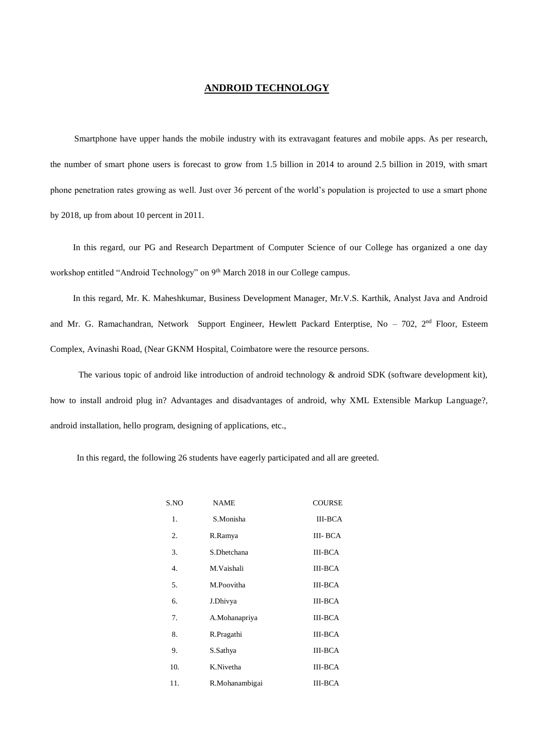#### **ANDROID TECHNOLOGY**

 In this regard, our PG and Research Department of Computer Science of our College has organized a one day workshop entitled "Android Technology" on 9<sup>th</sup> March 2018 in our College campus.

Smartphone have upper hands the mobile industry with its extravagant features and mobile apps. As per research, the number of smart phone users is forecast to grow from 1.5 billion in 2014 to around 2.5 billion in 2019, with smart phone penetration rates growing as well. Just over 36 percent of the world's population is projected to use a smart phone by 2018, up from about 10 percent in 2011.

 In this regard, Mr. K. Maheshkumar, Business Development Manager, Mr.V.S. Karthik, Analyst Java and Android and Mr. G. Ramachandran, Network Support Engineer, Hewlett Packard Enterptise, No - 702, 2<sup>nd</sup> Floor, Esteem Complex, Avinashi Road, (Near GKNM Hospital, Coimbatore were the resource persons.

 The various topic of android like introduction of android technology & android SDK (software development kit), how to install android plug in? Advantages and disadvantages of android, why XML Extensible Markup Language?, android installation, hello program, designing of applications, etc.,

In this regard, the following 26 students have eagerly participated and all are greeted.

| S.NO | <b>NAME</b>    | <b>COURSE</b>  |
|------|----------------|----------------|
| 1.   | S.Monisha      | <b>III-BCA</b> |
| 2.   | R.Ramya        | <b>III-BCA</b> |
| 3.   | S.Dhetchana    | <b>III-BCA</b> |
| 4.   | M.Vaishali     | <b>III-BCA</b> |
| 5.   | M.Poovitha     | <b>III-BCA</b> |
| 6.   | J.Dhivya       | <b>III-BCA</b> |
| 7.   | A.Mohanapriya  | <b>III-BCA</b> |
| 8.   | R.Pragathi     | <b>III-BCA</b> |
| 9.   | S.Sathya       | <b>III-BCA</b> |
| 10.  | K.Nivetha      | <b>III-BCA</b> |
| 11.  | R.Mohanambigai | <b>III-BCA</b> |